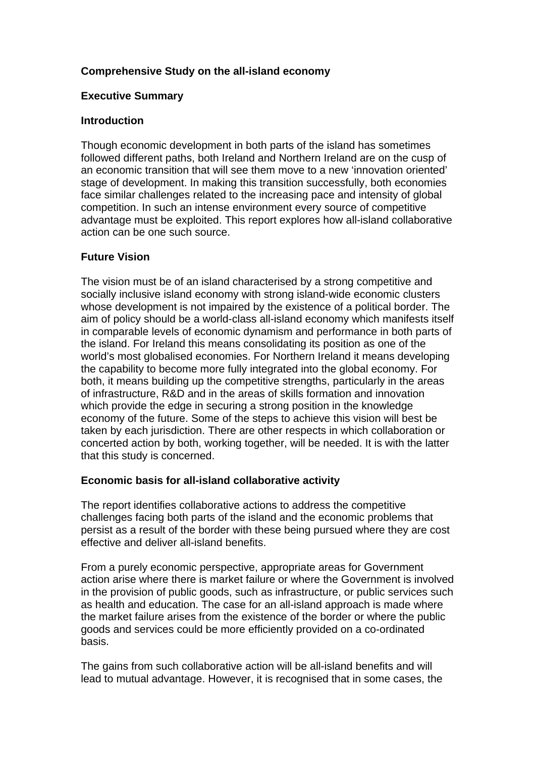# **Comprehensive Study on the all-island economy**

#### **Executive Summary**

#### **Introduction**

Though economic development in both parts of the island has sometimes followed different paths, both Ireland and Northern Ireland are on the cusp of an economic transition that will see them move to a new 'innovation oriented' stage of development. In making this transition successfully, both economies face similar challenges related to the increasing pace and intensity of global competition. In such an intense environment every source of competitive advantage must be exploited. This report explores how all-island collaborative action can be one such source.

## **Future Vision**

The vision must be of an island characterised by a strong competitive and socially inclusive island economy with strong island-wide economic clusters whose development is not impaired by the existence of a political border. The aim of policy should be a world-class all-island economy which manifests itself in comparable levels of economic dynamism and performance in both parts of the island. For Ireland this means consolidating its position as one of the world's most globalised economies. For Northern Ireland it means developing the capability to become more fully integrated into the global economy. For both, it means building up the competitive strengths, particularly in the areas of infrastructure, R&D and in the areas of skills formation and innovation which provide the edge in securing a strong position in the knowledge economy of the future. Some of the steps to achieve this vision will best be taken by each jurisdiction. There are other respects in which collaboration or concerted action by both, working together, will be needed. It is with the latter that this study is concerned.

## **Economic basis for all-island collaborative activity**

The report identifies collaborative actions to address the competitive challenges facing both parts of the island and the economic problems that persist as a result of the border with these being pursued where they are cost effective and deliver all-island benefits.

From a purely economic perspective, appropriate areas for Government action arise where there is market failure or where the Government is involved in the provision of public goods, such as infrastructure, or public services such as health and education. The case for an all-island approach is made where the market failure arises from the existence of the border or where the public goods and services could be more efficiently provided on a co-ordinated basis.

The gains from such collaborative action will be all-island benefits and will lead to mutual advantage. However, it is recognised that in some cases, the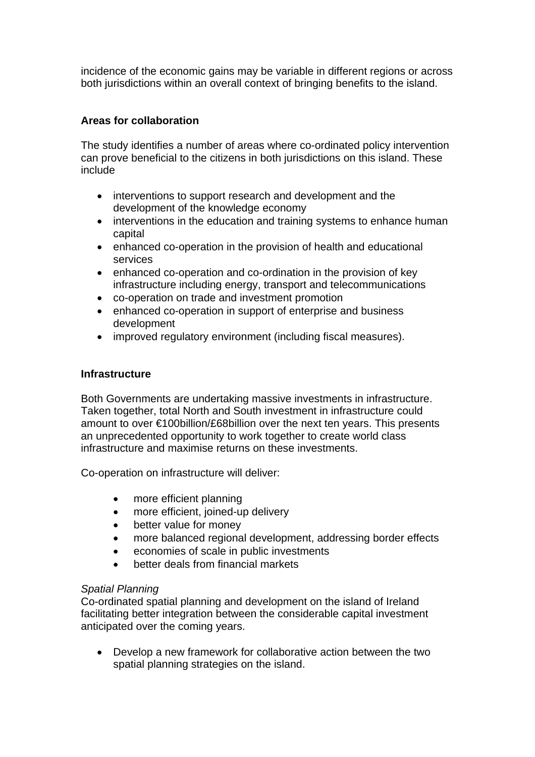incidence of the economic gains may be variable in different regions or across both jurisdictions within an overall context of bringing benefits to the island.

# **Areas for collaboration**

The study identifies a number of areas where co-ordinated policy intervention can prove beneficial to the citizens in both jurisdictions on this island. These include

- interventions to support research and development and the development of the knowledge economy
- interventions in the education and training systems to enhance human capital
- enhanced co-operation in the provision of health and educational services
- enhanced co-operation and co-ordination in the provision of key infrastructure including energy, transport and telecommunications
- co-operation on trade and investment promotion
- enhanced co-operation in support of enterprise and business development
- improved regulatory environment (including fiscal measures).

## **Infrastructure**

Both Governments are undertaking massive investments in infrastructure. Taken together, total North and South investment in infrastructure could amount to over €100billion/£68billion over the next ten years. This presents an unprecedented opportunity to work together to create world class infrastructure and maximise returns on these investments.

Co-operation on infrastructure will deliver:

- more efficient planning
- more efficient, joined-up delivery
- better value for money
- more balanced regional development, addressing border effects
- economies of scale in public investments
- better deals from financial markets

## *Spatial Planning*

Co-ordinated spatial planning and development on the island of Ireland facilitating better integration between the considerable capital investment anticipated over the coming years.

• Develop a new framework for collaborative action between the two spatial planning strategies on the island.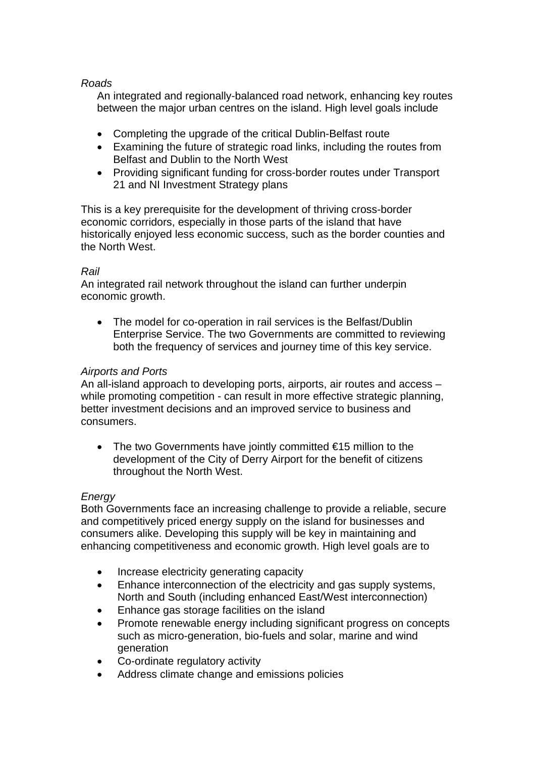## *Roads*

An integrated and regionally-balanced road network, enhancing key routes between the major urban centres on the island. High level goals include

- Completing the upgrade of the critical Dublin-Belfast route
- Examining the future of strategic road links, including the routes from Belfast and Dublin to the North West
- Providing significant funding for cross-border routes under Transport 21 and NI Investment Strategy plans

This is a key prerequisite for the development of thriving cross-border economic corridors, especially in those parts of the island that have historically enjoyed less economic success, such as the border counties and the North West.

# *Rail*

An integrated rail network throughout the island can further underpin economic growth.

• The model for co-operation in rail services is the Belfast/Dublin Enterprise Service. The two Governments are committed to reviewing both the frequency of services and journey time of this key service.

# *Airports and Ports*

An all-island approach to developing ports, airports, air routes and access – while promoting competition - can result in more effective strategic planning, better investment decisions and an improved service to business and consumers.

• The two Governments have jointly committed €15 million to the development of the City of Derry Airport for the benefit of citizens throughout the North West.

## *Energy*

Both Governments face an increasing challenge to provide a reliable, secure and competitively priced energy supply on the island for businesses and consumers alike. Developing this supply will be key in maintaining and enhancing competitiveness and economic growth. High level goals are to

- Increase electricity generating capacity
- Enhance interconnection of the electricity and gas supply systems, North and South (including enhanced East/West interconnection)
- Enhance gas storage facilities on the island
- Promote renewable energy including significant progress on concepts such as micro-generation, bio-fuels and solar, marine and wind generation
- Co-ordinate regulatory activity
- Address climate change and emissions policies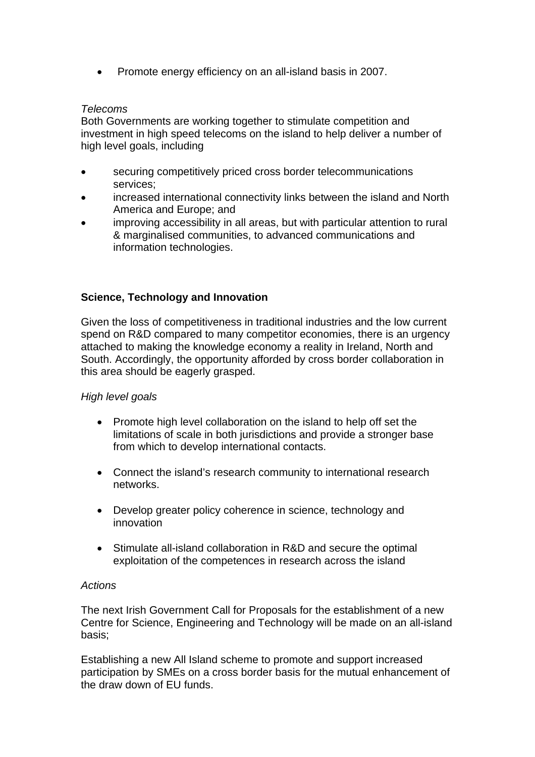• Promote energy efficiency on an all-island basis in 2007.

## *Telecoms*

Both Governments are working together to stimulate competition and investment in high speed telecoms on the island to help deliver a number of high level goals, including

- securing competitively priced cross border telecommunications services;
- increased international connectivity links between the island and North America and Europe; and
- improving accessibility in all areas, but with particular attention to rural & marginalised communities, to advanced communications and information technologies.

# **Science, Technology and Innovation**

Given the loss of competitiveness in traditional industries and the low current spend on R&D compared to many competitor economies, there is an urgency attached to making the knowledge economy a reality in Ireland, North and South. Accordingly, the opportunity afforded by cross border collaboration in this area should be eagerly grasped.

## *High level goals*

- Promote high level collaboration on the island to help off set the limitations of scale in both jurisdictions and provide a stronger base from which to develop international contacts.
- Connect the island's research community to international research networks.
- Develop greater policy coherence in science, technology and innovation
- Stimulate all-island collaboration in R&D and secure the optimal exploitation of the competences in research across the island

## *Actions*

The next Irish Government Call for Proposals for the establishment of a new Centre for Science, Engineering and Technology will be made on an all-island basis;

Establishing a new All Island scheme to promote and support increased participation by SMEs on a cross border basis for the mutual enhancement of the draw down of EU funds.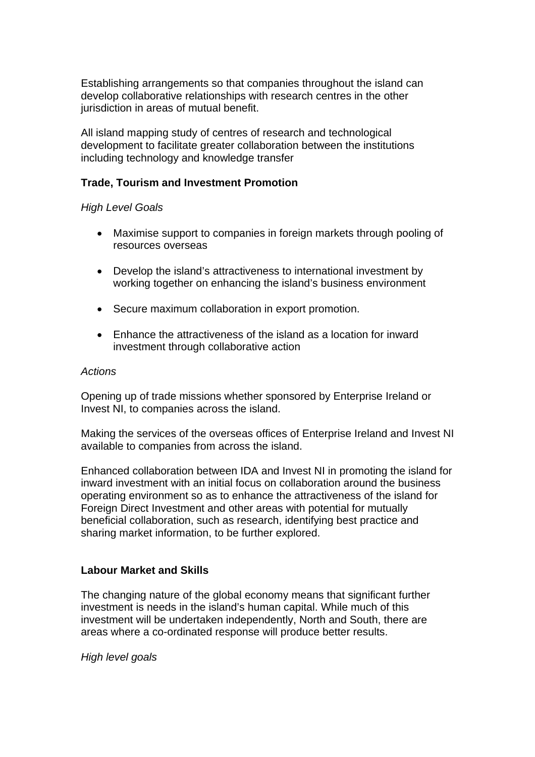Establishing arrangements so that companies throughout the island can develop collaborative relationships with research centres in the other jurisdiction in areas of mutual benefit.

All island mapping study of centres of research and technological development to facilitate greater collaboration between the institutions including technology and knowledge transfer

## **Trade, Tourism and Investment Promotion**

#### *High Level Goals*

- Maximise support to companies in foreign markets through pooling of resources overseas
- Develop the island's attractiveness to international investment by working together on enhancing the island's business environment
- Secure maximum collaboration in export promotion.
- Enhance the attractiveness of the island as a location for inward investment through collaborative action

#### *Actions*

Opening up of trade missions whether sponsored by Enterprise Ireland or Invest NI, to companies across the island.

Making the services of the overseas offices of Enterprise Ireland and Invest NI available to companies from across the island.

Enhanced collaboration between IDA and Invest NI in promoting the island for inward investment with an initial focus on collaboration around the business operating environment so as to enhance the attractiveness of the island for Foreign Direct Investment and other areas with potential for mutually beneficial collaboration, such as research, identifying best practice and sharing market information, to be further explored.

#### **Labour Market and Skills**

The changing nature of the global economy means that significant further investment is needs in the island's human capital. While much of this investment will be undertaken independently, North and South, there are areas where a co-ordinated response will produce better results.

*High level goals*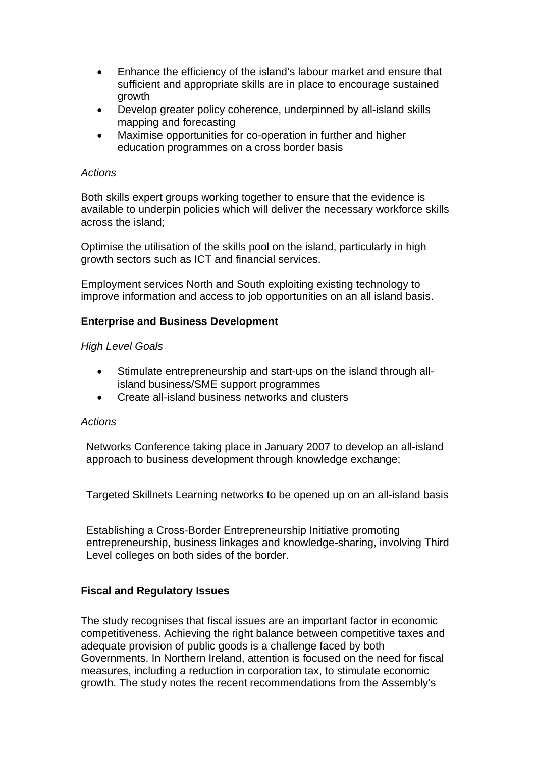- Enhance the efficiency of the island's labour market and ensure that sufficient and appropriate skills are in place to encourage sustained growth
- Develop greater policy coherence, underpinned by all-island skills mapping and forecasting
- Maximise opportunities for co-operation in further and higher education programmes on a cross border basis

#### *Actions*

Both skills expert groups working together to ensure that the evidence is available to underpin policies which will deliver the necessary workforce skills across the island;

Optimise the utilisation of the skills pool on the island, particularly in high growth sectors such as ICT and financial services.

Employment services North and South exploiting existing technology to improve information and access to job opportunities on an all island basis.

## **Enterprise and Business Development**

#### *High Level Goals*

- Stimulate entrepreneurship and start-ups on the island through allisland business/SME support programmes
- Create all-island business networks and clusters

#### *Actions*

Networks Conference taking place in January 2007 to develop an all-island approach to business development through knowledge exchange;

Targeted Skillnets Learning networks to be opened up on an all-island basis

Establishing a Cross-Border Entrepreneurship Initiative promoting entrepreneurship, business linkages and knowledge-sharing, involving Third Level colleges on both sides of the border.

## **Fiscal and Regulatory Issues**

The study recognises that fiscal issues are an important factor in economic competitiveness. Achieving the right balance between competitive taxes and adequate provision of public goods is a challenge faced by both Governments. In Northern Ireland, attention is focused on the need for fiscal measures, including a reduction in corporation tax, to stimulate economic growth. The study notes the recent recommendations from the Assembly's